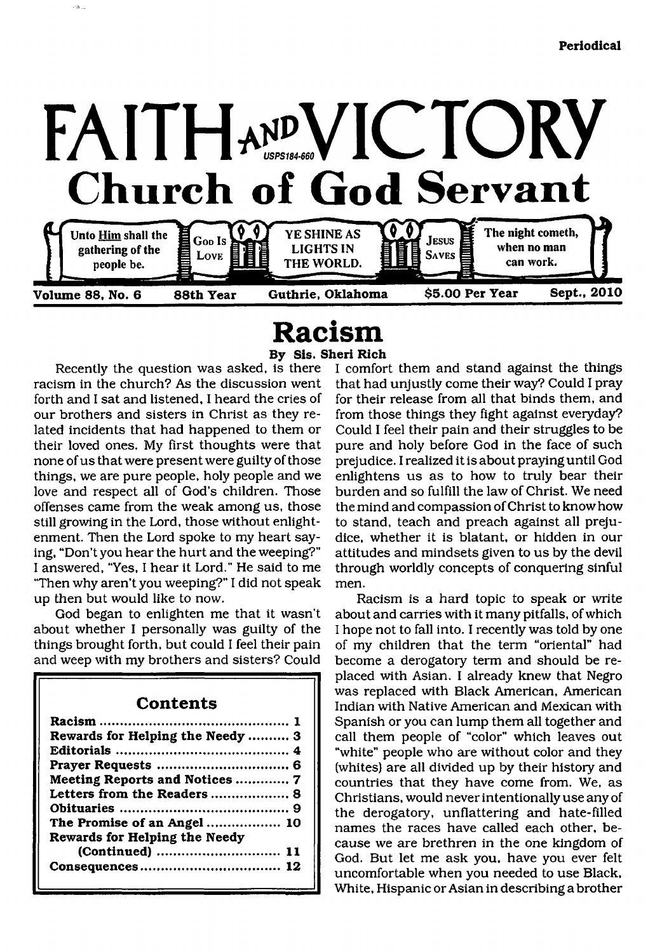

## <span id="page-0-0"></span>**Racism By Sis. Sheri Rich**

Recently the question was asked, is there racism in the church? As the discussion went forth and I sat and listened, I heard the cries of our brothers and sisters in Christ as they related incidents that had happened to them or their loved ones. My first thoughts were that none of us that were present were guilty of those things, we are pure people, holy people and we love and respect all of God's children. Those offenses came from the weak among us, those still growing in the Lord, those without enlightenment. Then the Lord spoke to my heart saying, "Don't you hear the hurt and the weeping?" I answered, "Yes, I hear it Lord." He said to me 'Then why aren't you weeping?" I did not speak up then but would like to now.

rail

God began to enlighten me that it wasn't about whether I personally was guilty of the things brought forth, but could I feel their pain and weep with my brothers and sisters? Could

### **Contents [Racism................................................1](#page-0-0) [Rewards for Helping the Needy...........3](#page-2-0) Editorials........................................... 4 Prayer Requests ................................. 6 Meeting Reports and Notices..............7 Letters from the Readers....................8 Obituaries .......................................... 9 [The Promise of an Angel.................. 10](#page-9-0) Rewards for Helping the Needy (Continued).............................. 11 Consequences.................................. 12**

I comfort them and stand against the things that had unjustly come their way? Could I pray for their release from all that binds them, and from those things they fight against everyday? Could I feel their pain and their struggles to be pure and holy before God in the face of such prejudice. I realized it is about praying until God enlightens us as to how to truly bear their burden and so fulfill the law of Christ. We need the mind and compassion of Christ to know how to stand, teach and preach against all prejudice, whether it is blatant, or hidden in our attitudes and mindsets given to us by the devil through worldly concepts of conquering sinful men.

Racism is a hard topic to speak or write about and carries with it many pitfalls, of which I hope not to fall into. I recently was told by one of my children that the term "oriental" had become a derogatory term and should be replaced with Asian. I already knew that Negro was replaced with Black American, American Indian with Native American and Mexican with Spanish or you can lump them all together and call them people of "color" which leaves out "white" people who are without color and they (whites) are all divided up by their history and countries that they have come from. We, as Christians, would never intentionally use any of the derogatory, unflattering and hate-filled names the races have called each other, because we are brethren in the one kingdom of God. But let me ask you, have you ever felt uncomfortable when you needed to use Black, White, Hispanic or Asian in describing a brother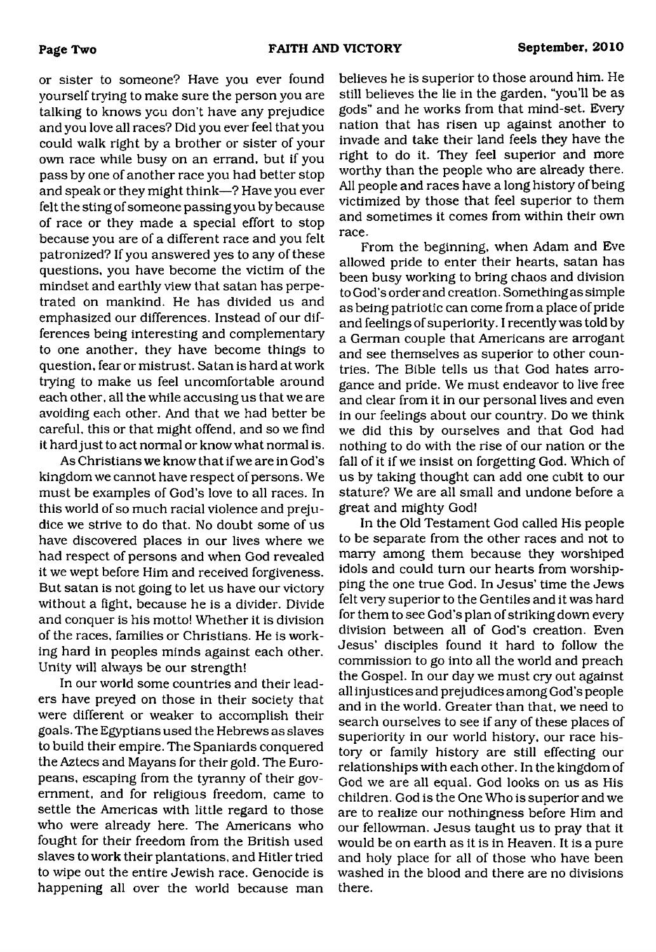or sister to someone? Have you ever found yourself trying to make sure the person you are talking to knows you don't have any prejudice and you love all races? Did you ever feel that you could walk right by a brother or sister of your own race while busy on an errand, but if you pass by one of another race you had better stop and speak or they might think—? Have you ever felt the sting of someone passing you by because of race or they made a special effort to stop because you are of a different race and you felt patronized? If you answered yes to any of these questions, you have become the victim of the mindset and earthly view that satan has perpetrated on mankind. He has divided us and emphasized our differences. Instead of our differences being interesting and complementary to one another, they have become things to question, fear or mistrust. Satan is hard at work trying to make us feel uncomfortable around each other, all the while accusing us that we are avoiding each other. And that we had better be careful, this or that might offend, and so we find it hard just to act normal or know what normal is.

As Christians we know that if we are in God's kingdom we cannot have respect of persons. We must be examples of God's love to all races. In this world of so much racial violence and prejudice we strive to do that. No doubt some of us have discovered places in our lives where we had respect of persons and when God revealed it we wept before Him and received forgiveness. But satan is not going to let us have our victory without a fight, because he is a divider. Divide and conquer is his motto! Whether it is division of the races, families or Christians. He is working hard in peoples minds against each other. Unity will always be our strength!

In our world some countries and their leaders have preyed on those in their society that were different or weaker to accomplish their goals. The Egyptians used the Hebrews as slaves to build their empire. The Spaniards conquered the Aztecs and Mayans for their gold. The Europeans, escaping from the tyranny of their government, and for religious freedom, came to settle the Americas with little regard to those who were already here. The Americans who fought for their freedom from the British used slaves to work their plantations, and Hitler tried to wipe out the entire Jewish race. Genocide is happening all over the world because man

believes he is superior to those around him. He still believes the lie in the garden, "you'll be as gods" and he works from that mind-set. Every nation that has risen up against another to invade and take their land feels they have the right to do it. They feel superior and more worthy than the people who are already there. All people and races have a long history of being victimized by those that feel superior to them and sometimes it comes from within their own race.

From the beginning, when Adam and Eve allowed pride to enter their hearts, satan has been busy working to bring chaos and division to God's order and creation. Something as simple as being patriotic can come from a place of pride and feelings of superiority. I recently was told by a German couple that Americans are arrogant and see themselves as superior to other countries. The Bible tells us that God hates arrogance and pride. We must endeavor to live free and clear from it in our personal lives and even in our feelings about our country. Do we think we did this by ourselves and that God had nothing to do with the rise of our nation or the fall of it if we insist on forgetting God. Which of us by taking thought can add one cubit to our stature? We are all small and undone before a great and mighty God!

In the Old Testament God called His people to be separate from the other races and not to marry among them because they worshiped idols and could turn our hearts from worshipping the one true God. In Jesus' time the Jews felt very superior to the Gentiles and it was hard for them to see God's plan of striking down every division between all of God's creation. Even Jesus' disciples found it hard to follow the commission to go into all the world and preach the Gospel. In our day we must cry out against all injustices and prejudices among God's people and in the world. Greater than that, we need to search ourselves to see if any of these places of superiority in our world history, our race history or family history are still effecting our relationships with each other. In the kingdom of God we are all equal. God looks on us as His children. God is the One Who is superior and we are to realize our nothingness before Him and our fellowman. Jesus taught us to pray that it would be on earth as it is in Heaven. It is a pure and holy place for all of those Who have been washed in the blood and there are no divisions there.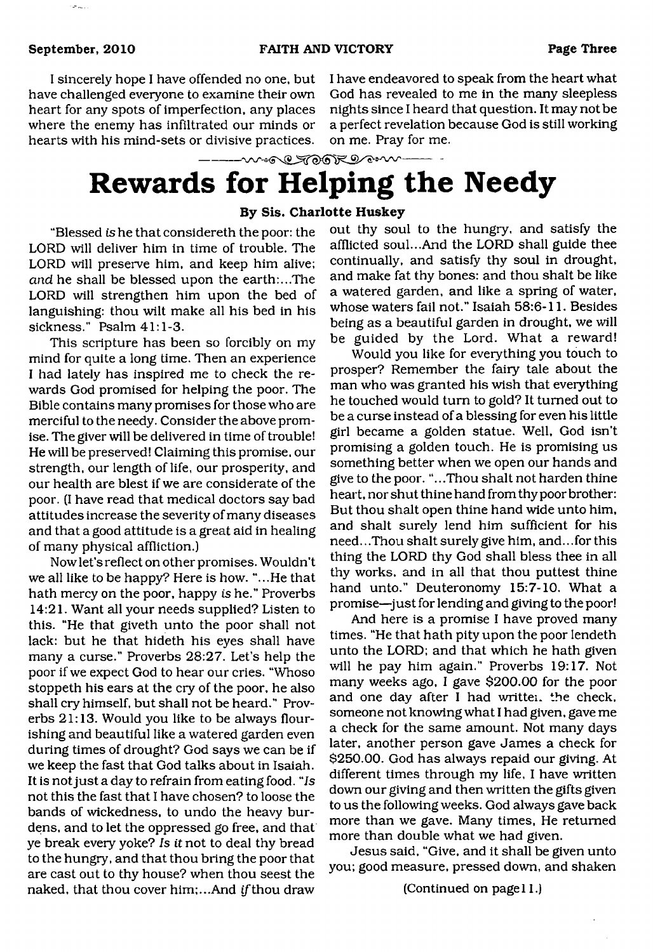I sincerely hope I have offended no one, but have challenged everyone to examine their own heart for any spots of imperfection, any places where the enemy has infiltrated our minds or hearts with his mind-sets or divisive practices.

I have endeavored to speak from the heart what God has revealed to me in the many sleepless nights since I heard that question. It may not be a perfect revelation because God is still working on me. Pray for me.

--- w.g @ TOOR DOWN

# <span id="page-2-0"></span>**Rewards for Helping the Needy**

#### **By Sis. Charlotte Huskey**

"Blessed *is* he that considereth the poor: the LORD will deliver him in time of trouble. The LORD will preserve him, and keep him alive; *and* he shall be blessed upon the earth:...The LORD will strengthen him upon the bed of languishing: thou wilt make all his bed in his sickness." Psalm 41:1-3.

This scripture has been so forcibly on my mind for quite a long time. Then an experience I had lately has inspired me to check the rewards God promised for helping the poor. The Bible contains many promises for those who are merciful to the needy. Consider the above promise. The giver will be delivered in time of trouble! He will be preserved! Claiming this promise, our strength, our length of life, our prosperity, and our health are blest if we are considerate of the poor. (I have read that medical doctors say bad attitudes increase the severity of many diseases and that a good attitude is a great aid in healing of many physical affliction.)

Now let's reflect on other promises. Wouldn't we all like to be happy? Here is how. "...He that hath mercy on the poor, happy is he." Proverbs 14:21. Want all your needs supplied? Listen to this. "He that giveth unto the poor shall not lack: but he that hideth his eyes shall have many a curse." Proverbs 28:27. Let's help the poor if we expect God to hear our cries. "Whoso stoppeth his ears at the cry of the poor, he also shall cry himself, but shall not be heard." Proverbs 21:13. Would you like to be always flourishing and beautiful like a watered garden even during times of drought? God says we can be if we keep the fast that God talks about in Isaiah. It is not just a day to refrain from eating food. "Is not this the fast that I have chosen? to loose the bands of wickedness, to undo the heavy burdens. and to let the oppressed go free, and that ye break every yoke? *Is it* not to deal thy bread to the hungry, and that thou bring the poor that are cast out to thy house? when thou seest the naked, that thou cover him;...And *ift*hou draw

out thy soul to the hungry, and satisfy the afflicted soul...And the LORD shall guide thee continually, and satisfy thy soul in drought, and make fat thy bones: and thou shalt be like a watered garden, and like a spring of water, whose waters fail not." Isaiah 58:6-11. Besides being as a beautiful garden in drought, we will be guided by the Lord. What a reward!

Would you like for everything you touch to prosper? Remember the fairy tale about the man who was granted his wish that everything he touched would turn to gold? It turned out to be a curse instead of a blessing for even his little girl became a golden statue. Well, God isn't promising a golden touch. He is promising us something better when we open our hands and give to the poor. "...Thou shalt not harden thine heart, nor shut thine hand from thy poor brother: But thou shalt open thine hand wide unto him, and shalt surely lend him sufficient for his need.. .Thou shalt surely give him, and.. .for this thing the LORD thy God shall bless thee in all thy works, and in all that thou puttest thine hand unto." Deuteronomy 15:7-10. What a promise—just for lending and giving to the poor!

And here is a promise I have proved many times. "He that hath pity upon the poor lendeth unto the LORD; and that which he hath given will he pay him again." Proverbs 19:17. Not many weeks ago, I gave \$200.00 for the poor and one day after I had written. the check, someone not knowing what I had given, gave me a check for the same amount. Not many days later, another person gave James a check for \$250.00. God has always repaid our giving. At different times through my life, I have written down our giving and then written the gifts given to us the following weeks. God always gave back more than we gave. Many times, He returned more than double what we had given.

Jesus said, "Give, and it shall be given unto you; good measure, pressed down, and shaken

(Continued on page 11.)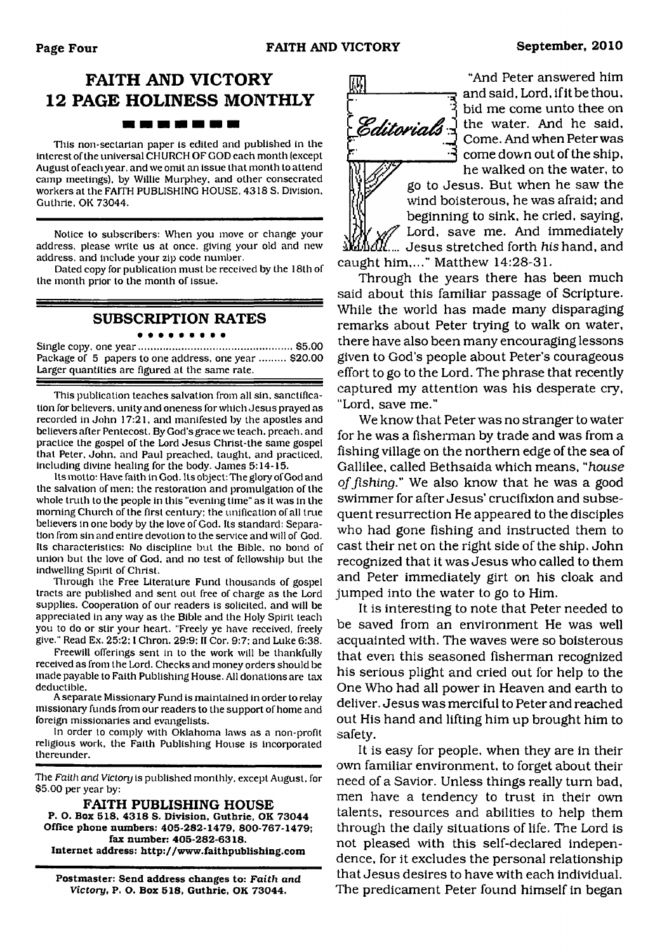## **FAITH AND VICTORY 12 PAGE HOLINESS MONTHLY** -------

This non-sectarian paper is edited and published in the interest of the universal CHURCH OF GOD each month (except August of each year, and we omit an issue that month to attend camp meetings), by Willie Murphey. and other consecrated workers at the FAITH PUBLISHING HOUSE. 4318 S. Division, Guthrie. OK 73044.

Notice to subscribers: When you move or change your address, please write us at once, giving your old and new address, and include your zip code number.

Dated copy for publication must be received by the 18th of the month prior to the month of issue.

## **SUBSCRIPTION RATES**

Single copy, one year......................................................\$5.00 Package of 5 papers to one address, one year ......... \$20.00 Larger quantities are figured at the same rate.

This publication teaches salvation from all sin. sanctification for believers, unity and oneness for which Jesus prayed as recorded in John 17:21, and manifested by the apostles and believers after Pentecost. By God's grace we teach, preach, and practice the gospel of the Lord Jesus Christ-the same gospel that Peter. John, and Paul preached, taught, and practiced, including divine healing for the body. James 5:14-15.

Its motto: Have faith in God. Its object: The glory of God and the salvation of men: the restoration and promulgation of the whole truth to the people in this "evening time" as it was in the morning Church of the first century: the unification of all true believers in one body by the love of God. Its standard: Separation from sin and entire devotion to the service and will of God. Its characteristics: No discipline but the Bible, no bond of union but the love of God, and no test of fellowship but the indwelling Spirit of Christ.

Through the Free Literature Fund thousands of gospel tracts are published and sent out free of charge as the Lord supplies. Cooperation of our readers is solicited, and will be appreciated in any way as the Bible and the Holy Spirit teach you to do or stir your heart. "Freely ye have received, freely give." Read Ex. 25:2; I Chron. 29:9: II Cor. 9:7: and Luke 6:38.

Freewill offerings sent in to the work will be thankfully received as from the Lord. Checks and money orders should be made payable to Faith Publishing House. All donations are tax deductible.

A separate Missionary Fund is maintained in order to relay missionary funds from our readers to the support of home and foreign missionaries and evangelists.

In order to comply with Oklahoma laws as a non-profit religious work, the Faith Publishing House is incorporated thereunder.

The *Faith and Victory* is published monthly, except August, for \$5.00 per year by:

**FAITH PUBLISHING HOUSE P. O. Box 518. 4318 S. Division. Guthrie, OK 73044 Office phone numbers: 405-282-1479. 800-767-1479; fax number: 405-282-6318. Internet address: <http://www.faithpublishing.com>**

**Postmaster: Send address changes to:** *Faith and Victory,* **P. O. Box 518, Guthrie, OK 73044.**



"And Peter answered him and said. Lord, if it be thou, bid me come unto thee on the water. And he said, Come. And when Peter was  $\mathcal{F}$  come down out of the ship, he walked on the water, to

go to Jesus. But when he saw the wind boisterous, he was afraid; and beginning to sink, he cried, saying, Lord, save me. And immediately  ${\rm \mathit{R}}$ .... Jesus stretched forth *his* hand, and

caught him,..." Matthew 14:28-31. Through the years there has been much said about this familiar passage of Scripture. While the world has made many disparaging remarks about Peter trying to walk on water, there have also been many encouraging lessons given to God's people about Peter's courageous effort to go to the Lord. The phrase that recently captured my attention was his desperate cry, "Lord, save me."

We know that Peter was no stranger to water for he was a fisherman by trade and was from a fishing village on the northern edge of the sea of Gallilee, called Bethsaida which means, "house *of fishing*." We also know that he was a good swimmer for after Jesus' crucifixion and subsequent resurrection He appeared to the disciples who had gone fishing and instructed them to cast their net on the right side of the ship. John recognized that it was Jesus who called to them and Peter immediately girt on his cloak and jumped into the water to go to Him.

It is interesting to note that Peter needed to be saved from an environment He was well acquainted with. The waves were so boisterous that even this seasoned fisherman recognized his serious plight and cried out for help to the One Who had all power in Heaven and earth to deliver. Jesus was merciful to Peter and reached out His hand and lifting him up brought him to safety.

It is easy for people, when they are in their own familiar environment, to forget about their need of a Savior. Unless things really turn bad, men have a tendency to trust in their own talents, resources and abilities to help them through the daily situations of life. The Lord is not pleased with this self-declared independence, for it excludes the personal relationship that Jesus desires to have with each individual. The predicament Peter found himself in began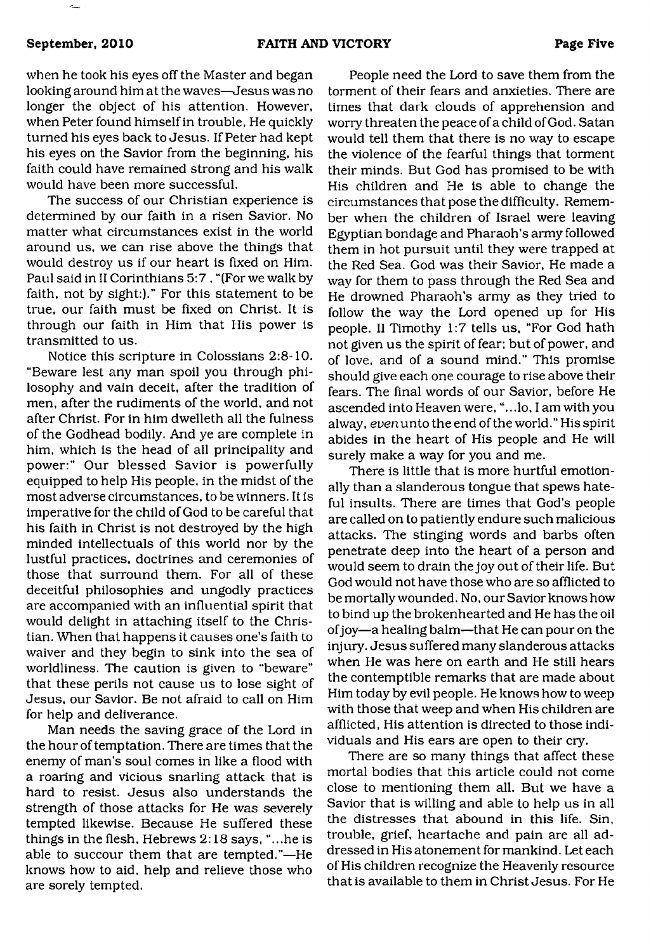when he took his eyes off the Master and began looking around him at the waves—Jesus was no longer the object of his attention. However, when Peter found himself in trouble, He quickly turned his eyes back to Jesus. If Peter had kept his eyes on the Savior from the beginning, his faith could have remained strong and his walk would have been more successful.

The success of our Christian experience is determined by our faith in a risen Savior. No matter what circumstances exist in the world around us, we can rise above the things that would destroy us if our heart is fixed on Him. Paul said in II Corinthians 5:7 , "(For we walk by faith, not by sight:)." For this statement to be true, our faith must be fixed on Christ. It is through our faith in Him that His power is transmitted to us.

Notice this scripture in Colossians 2:8-10. "Beware lest any man spoil you through philosophy and vain deceit, after the tradition of men, after the rudiments of the world, and not after Christ. For in him dwelleth all the fulness of the Godhead bodily. And ye are complete in him, which is the head of all principality and power:" Our blessed Savior is powerfully equipped to help His people, in the midst of the most adverse circumstances, to be winners. It is imperative for the child of God to be careful that his faith in Christ is not destroyed by the high minded intellectuals of this world nor by the lustful practices, doctrines and ceremonies of those that surround them. For all of these deceitful philosophies and ungodly practices are accompanied with an influential spirit that would delight in attaching itself to the Christian. When that happens it causes one's faith to waiver and they begin to sink into the sea of worldliness. The caution is given to "beware" that these perils not cause us to lose sight of Jesus, our Savior. Be not afraid to call on Him for help and deliverance.

Man needs the saving grace of the Lord in the hour of temptation. There are times that the enemy of man's soul comes in like a flood with a roaring and vicious snarling attack that is hard to resist. Jesus also understands the strength of those attacks for He was severely tempted likewise. Because He suffered these things in the flesh, Hebrews 2:18 says, "...he is able to succour them that are tempted."—He knows how to aid, help and relieve those who are sorely tempted.

People need the Lord to save them from the torment of their fears and anxieties. There are times that dark clouds of apprehension and worry threaten the peace of a child of God. Satan would tell them that there is no way to escape the violence of the fearful things that torment their minds. But God has promised to be with His children and He is able to change the circumstances that pose the difficulty. Remember when the children of Israel were leaving Egyptian bondage and Pharaoh's army followed them in hot pursuit until they were trapped at the Red Sea. God was their Savior, He made a way for them to pass through the Red Sea and He drowned Pharaoh's army as they tried to follow the way the Lord opened up for His people. II Timothy 1:7 tells us, "For God hath not given us the spirit of fear; but of power, and of love, and of a sound mind." This promise should give each one courage to rise above their fears. The final words of our Savior, before He ascended into Heaven were, "...lo, I am with you alway, even unto the end of the world." His spirit abides in the heart of His people and He will surely make a way for you and me.

There is little that is more hurtful emotionally than a slanderous tongue that spews hateful insults. There are times that God's people are called on to patiently endure such malicious attacks. The stinging words and barbs often penetrate deep into the heart of a person and would seem to drain the joy out of their life. But God would not have those who are so afflicted to be mortally wounded. No, our Savior knows how to bind up the brokenhearted and He has the oil of joy—a healing balm—that He can pour on the injury. Jesus suffered many slanderous attacks when He was here on earth and He still hears the contemptible remarks that are made about Him today by evil people. He knows how to weep with those that weep and when His children are afflicted, His attention is directed to those individuals and His ears are open to their cry.

There are so many things that affect these mortal bodies that this article could not come close to mentioning them all. But we have a Savior that is willing and able to help us in all the distresses that abound in this life. Sin, trouble, grief, heartache and pain are all addressed in His atonement for mankind. Let each of His children recognize the Heavenly resource that is available to them in Christ Jesus. For He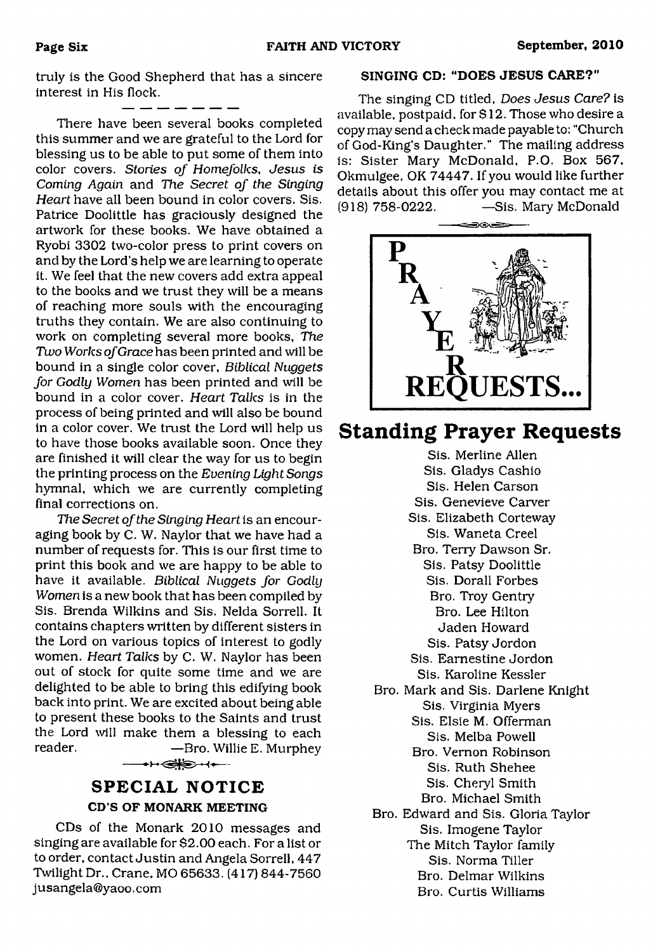truly is the Good Shepherd that has a sincere interest in His flock.

a an

There have been several books completed this summer and we are grateful to the Lord for blessing us to be able to put some of them into color covers. *Stories of Homefolks, Jesus is Coming Again* and *The Secret of the Singing Heart* have all been bound in color covers. Sis. Patrice Doolittle has graciously designed the artwork for these books. We have obtained a Ryobi 3302 two-color press to print covers on and by the Lord's help we are learning to operate it. We feel that the new covers add extra appeal to the books and we trust they will be a means of reaching more souls with the encouraging truths they contain. We are also continuing to work on completing several more books. *The Two Works of Grace* has been printed and will be bound in a single color cover, *Biblical Nuggets for Godly Women* has been printed and will be bound in a color cover. *Heart Talks* is in the process of being printed and will also be bound in a color cover. We trust the Lord will help us to have those books available soon. Once they are finished it will clear the way for us to begin the printing process on the *Evening Light Songs* hymnal, which we are currently completing final corrections on.

*The Secret of the Singing Heart* is an encouraging book by C. W. Naylor that we have had a number of requests for. This is our first time to print this book and we are happy to be able to have it available. *Biblical Nuggets for Godly Women* is a new book that has been compiled by Sis. Brenda Wilkins and Sis. Nelda Sorrell. It contains chapters written by different sisters in the Lord on various topics of interest to godly women. *Heart Talks* by C. W. Naylor has been out of stock for quite some time and we are delighted to be able to bring this edifying book back into print. We are excited about being able to present these books to the Saints and trust the Lord will make them a blessing to each reader. — — — — Bro. Willie E. Murphey **←←←◎ →←** 

## **SPECIAL NOTICE CD'S OF MONARK MEETING**

CDs of the Monark 2010 messages and singing are available for \$2.00 each. For a list or to order, contact Justin and Angela Sorrell, 447 Twilight Dr., Crane, MO 65633. (417) 844-7560 [jusangela@yaoo.com](mailto:jusangela@yaoo.com)

#### **SINGING CD: 'DOES JESUS CARE?"**

The singing CD titled, *Does Jesus Care?* is available, postpaid, for \$ 12. Those who desire a copy may send a check made payable to: "Church of God-King's Daughter." The mailing address is: Sister Mary McDonald, P.O. Box 567, Okmulgee, OK 74447. If you would like further details about this offer you may contact me at (918) 758-0222. — Sis. Mary McDonald



## **Standing Prayer Requests**

Sis. Merline Allen Sis. Gladys Cashio Sis. Helen Carson Sis. Genevieve Carver Sis. Elizabeth Corteway Sis. Waneta Creel Bro. Terry Dawson Sr. Sis. Patsy Doolittle Sis. Dorall Forbes Bro. Troy Gentry Bro. Lee Hilton Jaden Howard Sis. Patsy Jordon Sis. Earnestine Jordon Sis. Karoline Kessler Bro. Mark and Sis. Darlene Knight Sis. Virginia Myers Sis. Elsie M. Offerman Sis. Melba Powell Bro. Vernon Robinson Sis. Ruth Shehee Sis. Cheryl Smith Bro. Michael Smith Bro. Edward and Sis. Gloria Taylor Sis. Imogene Taylor The Mitch Taylor family Sis. Norma Tiller Bro. Delmar Wilkins Bro. Curtis Williams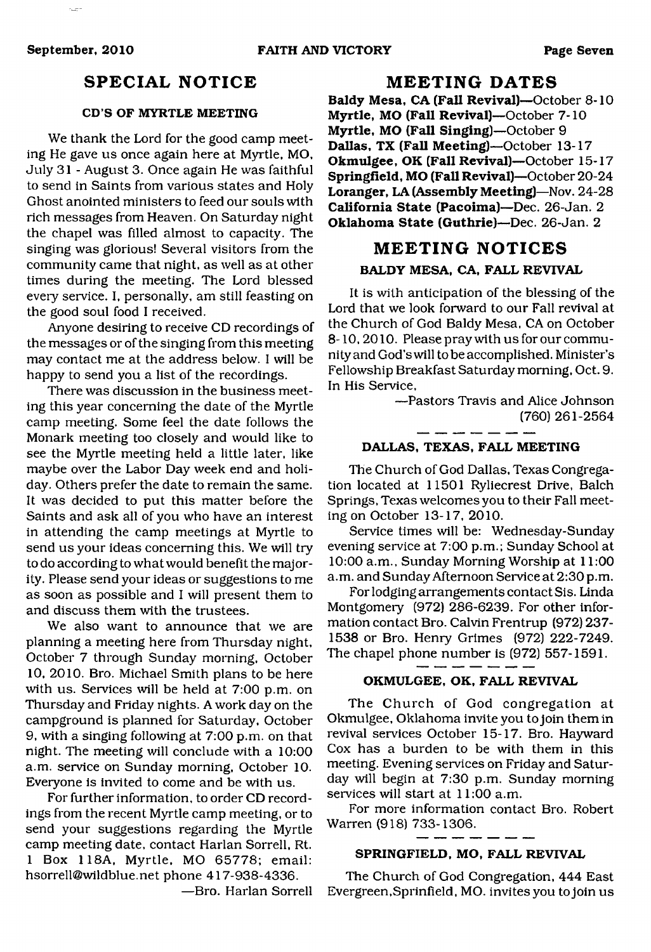## **SPECIAL NOTICE**

#### **CD'S OF MYRTLE MEETING**

We thank the Lord for the good camp meeting He gave us once again here at Myrtle, MO, July 31 - August 3. Once again He was faithful to send in Saints from various states and Holy Ghost anointed ministers to feed our souls with rich messages from Heaven. On Saturday night the chapel was filled almost to capacity. The singing was glorious! Several visitors from the community came that night, as well as at other times during the meeting. The Lord blessed every service. I, personally, am still feasting on the good soul food I received.

Anyone desiring to receive CD recordings of the messages or of the singing from this meeting may contact me at the address below. I will be happy to send you a list of the recordings.

There was discussion in the business meeting this year concerning the date of the Myrtle camp meeting. Some feel the date follows the Monark meeting too closely and would like to see the Myrtle meeting held a little later, like maybe over the Labor Day week end and holiday. Others prefer the date to remain the same. It was decided to put this matter before the Saints and ask all of you who have an interest in attending the camp meetings at Myrtle to send us your ideas concerning this. We will try to do according to what would benefit the majority. Please send your ideas or suggestions to me as soon as possible and I will present them to and discuss them with the trustees.

We also want to announce that we are planning a meeting here from Thursday night, October 7 through Sunday morning, October 10, 2010. Bro. Michael Smith plans to be here with us. Services will be held at 7:00 p.m. on Thursday and Friday nights. A work day on the campground is planned for Saturday, October 9, with a singing following at 7:00 p.m. on that night. The meeting will conclude with a 10:00 a.m. service on Sunday morning, October 10. Everyone is invited to come and be with us.

For further information, to order CD recordings from the recent Myrtle camp meeting, or to send your suggestions regarding the Myrtle camp meeting date, contact Harlan Sorrell, Rt. 1 Box 118A, Myrtle, MO 65778; email: [hsorrell@wildblue.net](mailto:hsorrell@wildblue.net) phone 417-938-4336.

—Bro. Harlan Sorrell

### **MEETING DATES**

**Baldy Mesa, CA (Fall Revival)**—October 8-10 **Myrtle, MO (Fall Revival)**—October 7-10 **Myrtle, MO (Fall Singing)**—October 9 **Dallas, TX (Fall Meeting)**—October 13-17 **Okmulgee, OK (Fall Revival)**—October 15-17 **Springfield, MO (Fall Revival)**—October 20-24 **Loranger, LA (Assembly Meeting)**—Nov. 24-28 **California State (Pacoima)**—Dec. 26-Jan. 2 **Oklahoma State (Guthrie)**—Dec. 26-Jan. 2

## **MEETING NOTICES BALDY MESA, CA, FALL REVIVAL**

It is with anticipation of the blessing of the Lord that we look forward to our Fall revival at the Church of God Baldy Mesa, CA on October 8-10,2010. Please pray with us for our community and God's will to be accomplished. Minister's Fellowship Breakfast Saturday morning, Oct. 9. In His Service,

> —Pastors Travis and Alice Johnson (760) 261-2564

#### **DALLAS, TEXAS, FALL MEETING**

The Church of God Dallas, Texas Congregation located at 11501 Ryliecrest Drive, Balch Springs, Texas welcomes you to their Fall meeting on October 13-17, 2010.

Service times will be: Wednesday-Sunday evening service at 7:00 p.m.; Sunday School at 10:00 a.m., Sunday Morning Worship at 11:00 a.m. and Sunday Afternoon Service at 2:30 p.m.

For lodging arrangements contact Sis. Linda Montgomery (972) 286-6239. For other information contact Bro. Calvin Frentrup (972) 237- 1538 or Bro. Henry Grimes (972) 222-7249. The chapel phone number is (972) 557-1591.

#### **OKMULGEE, OK, FALL REVIVAL**

The Church of God congregation at Okmulgee, Oklahoma invite you to join them in revival services October 15-17. Bro. Hayward Cox has a burden to be with them in this meeting. Evening services on Friday and Saturday will begin at 7:30 p.m. Sunday morning services will start at 11:00 a.m.

For more information contact Bro. Robert Warren (918) 733-1306.

\_ \_ \_

#### **SPRINGFIELD, MO, FALL REVIVAL**

The Church of God Congregation, 444 East Evergreen,Sprinfield, MO. invites you to join us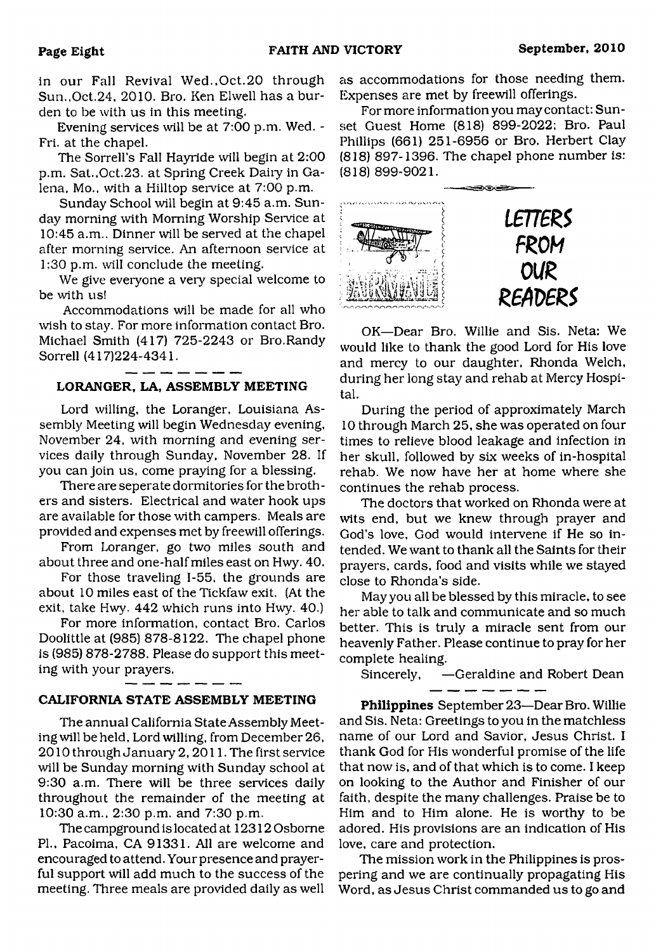in our Fall Revival Wed., Oct. 20 through Sun.,Oct.24, 2010. Bro. Ken Elwell has a burden to be with us in this meeting.

Evening services will be at 7:00 p.m. Wed. - Fri. at the chapel.

The Sorrell's Fall Hayride will begin at 2:00 p.m. Sat., Oct.23. at Spring Creek Dairy in Galena, Mo., with a Hilltop service at 7:00 p.m.

Sunday School will begin at 9:45 a.m. Sunday morning with Morning Worship Service at 10:45 a.m.. Dinner will be served at the chapel after morning service. An afternoon service at 1:30 p.m. will conclude the meeting.

We give everyone a very special welcome to be with us!

Accommodations will be made for all who wish to stay. For more information contact Bro. Michael Smith (417) 725-2243 or Bro.Randy Sorrell (417)224-4341.

## **LORANGER, LA, ASSEMBLY MEETING**

Lord willing, the Loranger, Louisiana Assembly Meeting will begin Wednesday evening, November 24, with morning and evening services daily through Sunday, November 28. If you can join us, come praying for a blessing.

There are seperate dormitories for the brothers and sisters. Electrical and water hook ups are available for those with campers. Meals are provided and expenses met by freewill offerings.

From Loranger, go two miles south and about three and one-half miles east on Hwy. 40.

For those traveling 1-55, the grounds are about 10 miles east of the Tickfaw exit. (At the exit, take Hwy. 442 which runs into Hwy. 40.)

For more information, contact Bro. Carlos Doolittle at (985) 878-8122. The chapel phone is (985) 878-2788. Please do support this meeting with your prayers.

#### **CALIFORNIA STATE ASSEMBLY MEETING**

The annual California State Assembly Meeting will be held, Lord willing, from December 26, 2010 through January 2, 2011. The first service will be Sunday morning with Sunday school at 9:30 a.m. There will be three services daily throughout the remainder of the meeting at 10:30 a.m., 2:30 p.m. and 7:30 p.m.

The campground is located at 12312 Osborne PL, Pacoima, CA 91331. All are welcome and encouraged to attend. Your presence and prayerful support will add much to the success of the meeting. Three meals are provided daily as well as accommodations for those needing them. Expenses are met by freewill offerings.

For more information you may contact: Sunset Guest Home (818) 899-2022: Bro. Paul Phillips (661) 251-6956 or Bro. Herbert Clay (818) 897-1396. The chapel phone number is: (818) 899-9021.



OK—Dear Bro. Willie and Sis. Neta: We would like to thank the good Lord for His love and mercy to our daughter, Rhonda Welch, during her long stay and rehab at Mercy Hospital.

During the period of approximately March 10 through March 25, she was operated on four times to relieve blood leakage and infection in her skull, followed by six weeks of in-hospital rehab. We now have her at home where she continues the rehab process.

The doctors that worked on Rhonda were at wits end, but we knew through prayer and God's love, God would intervene if He so intended. We want to thank all the Saints for their prayers, cards, food and visits while we stayed close to Rhonda's side.

May you all be blessed by this miracle, to see her able to talk and communicate and so much better. This is truly a miracle sent from our heavenly Father. Please continue to pray for her complete healing.

Sincerely, —Geraldine and Robert Dean

**Philippines** September 23—Dear Bro. Willie and Sis. Neta: Greetings to you in the matchless name of our Lord and Savior, Jesus Christ. I thank God for His wonderful promise of the life that now is, and of that which is to come. I keep on looking to the Author and Finisher of our faith, despite the many challenges. Praise be to Him and to Him alone. He is worthy to be adored. His provisions are an indication of His love, care and protection.

The mission work in the Philippines is prospering and we are continually propagating His Word, as Jesus Christ commanded us to go and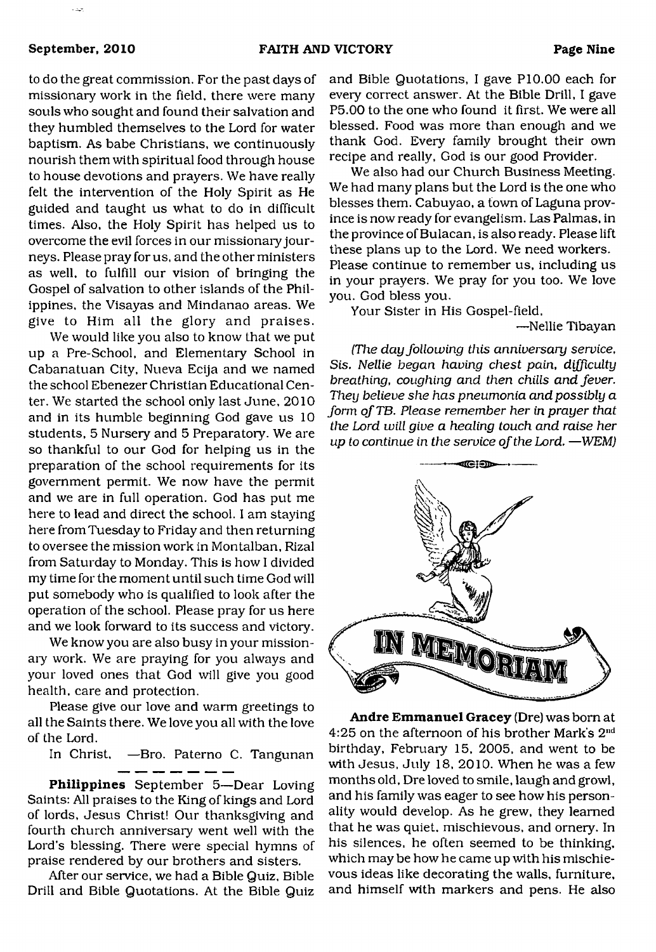to do the great commission. For the past days of missionary work in the field, there were many souls who sought and found their salvation and they humbled themselves to the Lord for water baptism. As babe Christians, we continuously nourish them with spiritual food through house to house devotions and prayers. We have really felt the intervention of the Holy Spirit as He guided and taught us what to do in difficult times. Also, the Holy Spirit has helped us to overcome the evil forces in our missionary journeys. Please pray for us, and the other ministers as well, to fulfill our vision of bringing the Gospel of salvation to other islands of the Philippines, the Visayas and Mindanao areas. We give to Him all the glory and praises.

We would like you also to know that we put up a Pre-School, and Elementary School in Cabanatuan City, Nueva Ecija and we named the school Ebenezer Christian Educational Center. We started the school only last June, 2010 and in its humble beginning God gave us 10 students, 5 Nursery and 5 Preparatory. We are so thankful to our God for helping us in the preparation of the school requirements for its government permit. We now have the permit and we are in full operation. God has put me here to lead and direct the school. I am staying here from Tuesday to Friday and then returning to oversee the mission work in Montalban, Rizal from Saturday to Monday. This is how I divided my time for the moment until such time God will put somebody who is qualified to look after the operation of the school. Please pray for us here and we look forward to its success and victory.

We know you are also busy in your missionary work. We are praying for you always and your loved ones that God will give you good health, care and protection.

Please give our love and warm greetings to all the Saints there. We love you all with the love of the Lord.

In Christ, —Bro. Paterno C. Tangunan

**Philippines** September 5—Dear Loving Saints: All praises to the King of kings and Lord of lords, Jesus Christ! Our thanksgiving and fourth church anniversary went well with the Lord's blessing. There were special hymns of praise rendered by our brothers and sisters.

After our service, we had a Bible Quiz. Bible Drill and Bible Quotations. At the Bible Quiz and Bible Quotations, I gave P10.00 each for every correct answer. At the Bible Drill, I gave P5.00 to the one who found it first. We were all blessed. Food was more than enough and we thank God. Every family brought their own recipe and really, God is our good Provider.

We also had our Church Business Meeting. We had many plans but the Lord is the one who blesses them. Cabuyao, a town of Laguna province is now ready for evangelism. Las Palmas, in the province of Bulacan, is also ready. Please lift these plans up to the Lord. We need workers. Please continue to remember us, including us in your prayers. We pray for you too. We love you. God bless you.

Your Sister in His Gospel-field,

—Nellie Tibayan

*(The day following this anniversary service, Sis. Nellie began having chest pain, difficulty breathing, coughing and then chills and fever. They believe she has pneumonia and possibly a form of TB. Please remember her in prayer that the Lord will give a healing touch and raise her up to continue in the service of the Lord.* —*WEM)*



**Andre Emmanuel Gracey** (Dre) was bom at 4:25 on the afternoon of his brother Mark's 2nd birthday, February 15, 2005, and went to be with Jesus, July 18, 2010. When he was a few months old, Dre loved to smile, laugh and growl, and his family was eager to see how his personality would develop. As he grew, they learned that he was quiet, mischievous, and ornery. In his silences, he often seemed to be thinking, which may be how he came up with his mischievous ideas like decorating the walls, furniture, and himself with markers and pens. He also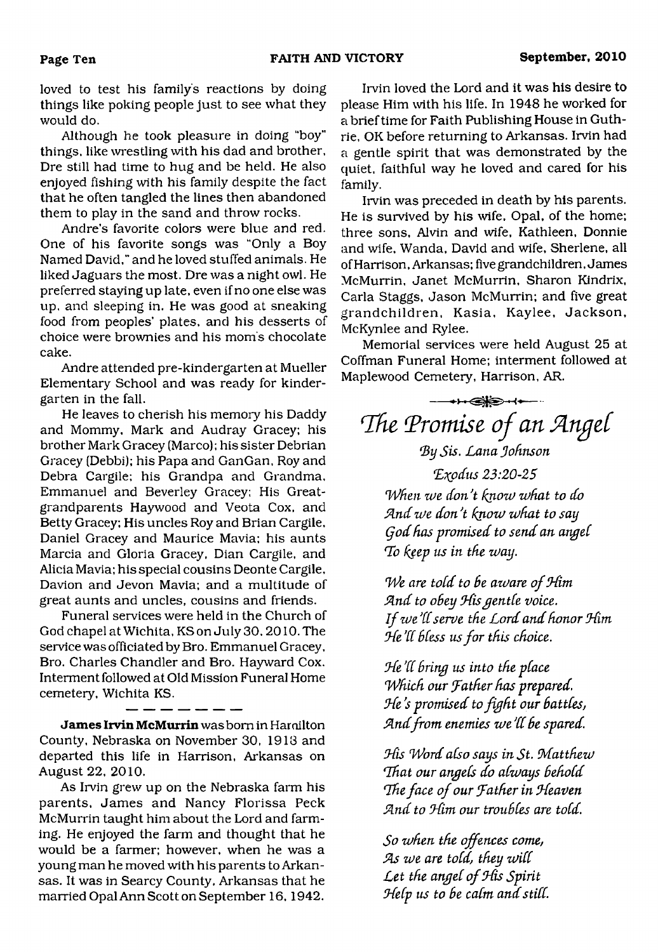loved to test his family's reactions by doing things like poking people just to see what they would do.

Although he took pleasure in doing "boy" things, like wrestling with his dad and brother. Dre still had time to hug and be held. He also enjoyed fishing with his family despite the fact that he often tangled the lines then abandoned them to play in the sand and throw rocks.

Andre's favorite colors were blue and red. One of his favorite songs was "Only a Boy Named David," and he loved stuffed animals. He liked Jaguars the most. Dre was a night owl. He preferred staying up late, even if no one else was up, and sleeping in. He was good at sneaking food from peoples' plates, and his desserts of choice were brownies and his mom's chocolate cake.

Andre attended pre-kindergarten at Mueller Elementary School and was ready for kindergarten in the fall.

He leaves to cherish his memory his Daddy and Mommy, Mark and Audray Gracey; his brother Mark Gracey (Marco); his sister Debrian Gracey (Debbi); his Papa and GanGan, Roy and Debra Cargile; his Grandpa and Grandma, Emmanuel and Beverley Gracey; His Greatgrandparents Haywood and Veota Cox, and Betty Gracey; His uncles Roy and Brian Cargile, Daniel Gracey and Maurice Mavia; his aunts Marcia and Gloria Gracey. Dian Cargile, and Alicia Mavia; his special cousins Deonte Cargile, Davion and Jevon Mavia; and a multitude of great aunts and uncles, cousins and friends.

Funeral services were held in the Church of God chapel at Wichita, KS on July 30,2010. The service was officiated by Bro. Emmanuel Gracey, Bro. Charles Chandler and Bro. Hayward Cox. Interment followed at Old Mission Funeral Home cemetery, Wichita KS.

**James Irvin McMurrin** was bom in Hamilton County, Nebraska on November 30, 1918 and departed this life in Harrison, Arkansas on August 22, 2010.

As Irvin grew up on the Nebraska farm his parents, James and Nancy Florissa Peck McMurrin taught him about the Lord and farming. He enjoyed the farm and thought that he would be a farmer; however, when he was a young man he moved with his parents to Arkansas. It was in Searcy County, Arkansas that he married Opal Ann Scott on September 16,1942.

Irvin loved the Lord and it was his desire to please Him with his life. In 1948 he worked for a brief time for Faith Publishing House in Guthrie, OK before returning to Arkansas. Irvin had a gentle spirit that was demonstrated by the quiet, faithful way he loved and cared for his family.

Irvin was preceded in death by his parents. He is survived by his wife. Opal, of the home; three sons, Alvin and wife, Kathleen, Donnie and wife, Wanda, David and wife, Sherlene, all of Harrison, Arkansas; five grandchildren, James McMurrin, Janet McMurrin, Sharon Kindrix, Carla Staggs, Jason McMurrin; and five great grandchildren, Kasia, Kaylee, Jackson, McKynlee and Rylee.

Memorial services were held August 25 at Coffman Funeral Home; interment followed at Maplewood Cemetery, Harrison, AR.

<span id="page-9-0"></span>**<del>◆下@</del>)→→** The Promise of an Angel

## *By Sis. Lana Johnson*

*(Exodus 23:20-25 When toe don't know what to do Sind we donJt know what to say Qod has promised to send an angel* **To** *keep us in the way.*

*We are told to Be aware of Jdim* And to obey His gentle voice. *If we'll serve the Lord and honor Him Ode d( BCess us for this choice.*

*Jde dC Bring us into the place Which our father has prepared. Jde's promised to fight our Battles,* And from enemies we'll be spared.

*Jdis Word also says in St. Matthew Uhat our angels do always Behold Idie face of our father in Jdeaven find to Jdim our trouBCes are told.*

*So when the offences come, As we are told, they will*<br>*Let the angel of His Spirit Help us to be calm and still.*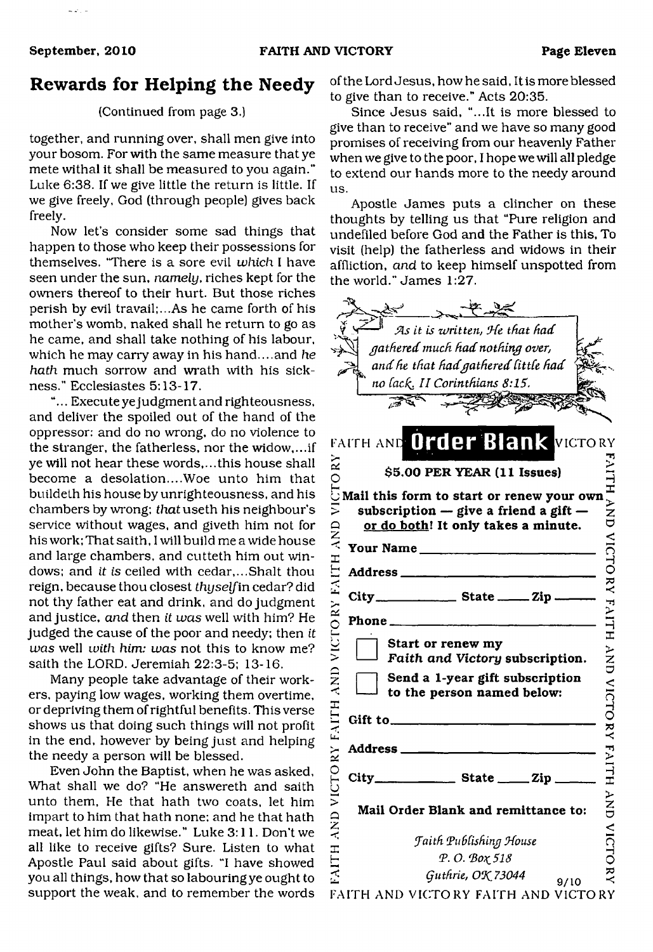## **Rewards for Helping the Needy**

#### (Continued from page 3.)

together, and running over, shall men give into your bosom. For with the same measure that ye mete withal it shall be measured to you again." Luke 6:38. If we give little the return is little. If we give freely, God (through people) gives back freely.

Now let's consider some sad things that happen to those who keep their possessions for themselves. 'There is a sore evil *which* I have seen under the sun, *namely,* riches kept for the owners thereof to their hurt. But those riches perish by evil travail;...As he came forth of his mother's womb, naked shall he return to go as he came, and shall take nothing of his labour, which he may carry away in his hand....and *he hath* much sorrow and wrath with his sickness." Ecclesiastes 5:13-17.

"... Execute ye judgment and righteousness, and deliver the spoiled out of the hand of the oppressor: and do no wrong, do no violence to the stranger, the fatherless, nor the widow,...if ye will not hear these words,...this house shall become a desolation....Woe unto him that buildeth his house by unrighteousness, and his chambers by wrong; *that* useth his neighbour's service without wages, and giveth him not for his work; That saith, I will build me a wide house and large chambers, and cutteth him out windows; and *it is* ceiled with cedar,...Shalt thou reign, because thou closest *thyself* in cedar? did not thy father eat and drink, and do judgment and justice, *and* then *it was* well with him? He judged the cause of the poor and needy; then *it was* well *with him: was* not this to know me? saith the LORD. Jeremiah 22:3-5; 13-16.

Many people take advantage of their workers, paying low wages, working them overtime, or depriving them of rightful benefits. This verse shows us that doing such things will not profit in the end, however by being just and helping the needy a person will be blessed.

Even John the Baptist, when he was asked. What shall we do? "He answereth and saith unto them, He that hath two coats, let him impart to him that hath none; and he that hath meat, let him do likewise." Luke 3:11. Don't we all like to receive gifts? Sure. Listen to what Apostle Paul said about gifts. "I have showed you all things, how that so labouring ye ought to support the weak, and to remember the words of the Lord Jesus, how he said, It is more blessed to give than to receive." Acts 20:35.

Since Jesus said, "...It is more blessed to give than to receive" and we have so many good promises of receiving from our heavenly Father when we give to the poor, I hope we will all pledge to extend our hands more to the needy around us.

Apostle James puts a clincher on these thoughts by telling us that "Pure religion and undefiled before God and the Father is this, To visit (help) the fatherless and widows in their affliction, *and* to keep himself unspotted from the world." James 1:27.